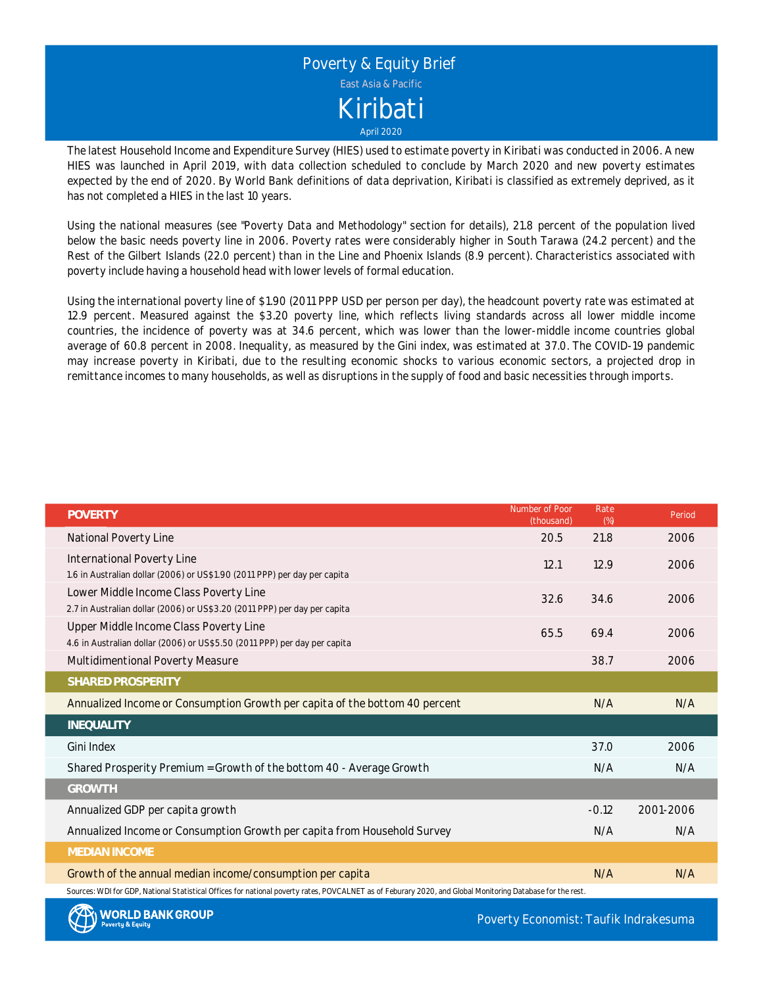

The latest Household Income and Expenditure Survey (HIES) used to estimate poverty in Kiribati was conducted in 2006. A new HIES was launched in April 2019, with data collection scheduled to conclude by March 2020 and new poverty estimates expected by the end of 2020. By World Bank definitions of data deprivation, Kiribati is classified as extremely deprived, as it has not completed a HIES in the last 10 years.

Using the national measures (see "Poverty Data and Methodology" section for details), 21.8 percent of the population lived below the basic needs poverty line in 2006. Poverty rates were considerably higher in South Tarawa (24.2 percent) and the Rest of the Gilbert Islands (22.0 percent) than in the Line and Phoenix Islands (8.9 percent). Characteristics associated with poverty include having a household head with lower levels of formal education.

Using the international poverty line of \$1.90 (2011 PPP USD per person per day), the headcount poverty rate was estimated at 12.9 percent. Measured against the \$3.20 poverty line, which reflects living standards across all lower middle income countries, the incidence of poverty was at 34.6 percent, which was lower than the lower-middle income countries global average of 60.8 percent in 2008. Inequality, as measured by the Gini index, was estimated at 37.0. The COVID-19 pandemic may increase poverty in Kiribati, due to the resulting economic shocks to various economic sectors, <sup>a</sup> projected drop in remittance incomes to many households, as well as disruptions in the supply of food and basic necessities through imports.

| <b>POVERTY</b>                                                                                                                                             | Number of Poor<br>(thousand) | Rate<br>(%) | Period    |
|------------------------------------------------------------------------------------------------------------------------------------------------------------|------------------------------|-------------|-----------|
| National Poverty Line                                                                                                                                      | 20.5                         | 21.8        | 2006      |
| International Poverty Line                                                                                                                                 | 12.1                         | 12.9        | 2006      |
| 1.6 in Australian dollar (2006) or US\$1.90 (2011 PPP) per day per capita                                                                                  |                              |             |           |
| Lower Middle Income Class Poverty Line                                                                                                                     | 32.6                         | 34.6        | 2006      |
| 2.7 in Australian dollar (2006) or US\$3.20 (2011 PPP) per day per capita                                                                                  |                              |             |           |
| Upper Middle Income Class Poverty Line                                                                                                                     | 65.5                         | 69.4        | 2006      |
| 4.6 in Australian dollar (2006) or US\$5.50 (2011 PPP) per day per capita                                                                                  |                              |             |           |
| Multidimentional Poverty Measure                                                                                                                           |                              | 38.7        | 2006      |
| SHARED PROSPERITY                                                                                                                                          |                              |             |           |
| Annualized Income or Consumption Growth per capita of the bottom 40 percent                                                                                |                              | N/A         | N/A       |
| INEQUALITY                                                                                                                                                 |                              |             |           |
| Gini Index                                                                                                                                                 |                              | 37.0        | 2006      |
| Shared Prosperity Premium = Growth of the bottom 40 - Average Growth                                                                                       |                              | N/A         | N/A       |
| <b>GROWTH</b>                                                                                                                                              |                              |             |           |
| Annualized GDP per capita growth                                                                                                                           |                              | $-0.12$     | 2001-2006 |
| Annualized Income or Consumption Growth per capita from Household Survey                                                                                   |                              | N/A         | N/A       |
| <b>MEDIAN INCOME</b>                                                                                                                                       |                              |             |           |
| Growth of the annual median income/consumption per capita                                                                                                  |                              | N/A         | N/A       |
| Sources: WDI for GDP, National Statistical Offices for national poverty rates, POVCALNET as of Feburary 2020, and Global Monitoring Database for the rest. |                              |             |           |